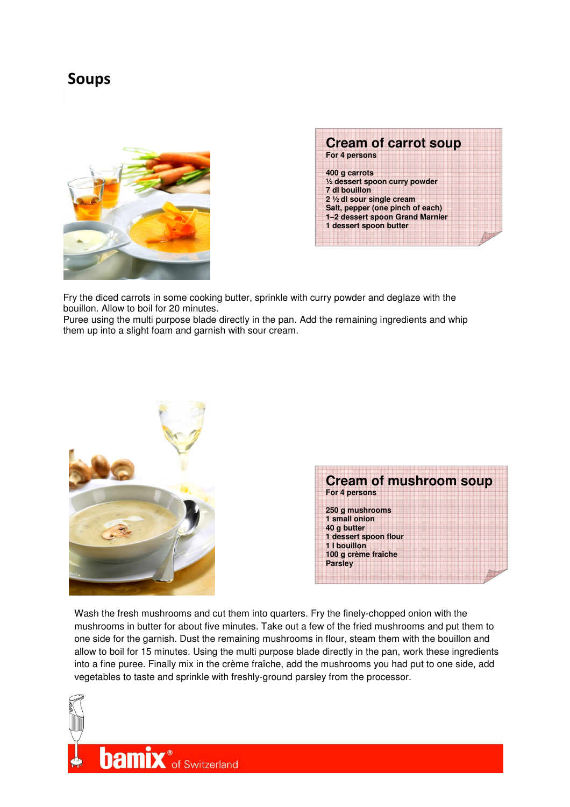## Soups





Fry the diced carrots in some cooking butter, sprinkle with curry powder and deglaze with the bouillon. Allow to boil for 20 minutes.

Puree using the multi purpose blade directly in the pan. Add the remaining ingredients and whip them up into a slight foam and garnish with sour cream.



Wash the fresh mushrooms and cut them into quarters. Fry the finely-chopped onion with the mushrooms in butter for about five minutes. Take out a few of the fried mushrooms and put them to one side for the garnish. Dust the remaining mushrooms in flour, steam them with the bouillon and allow to boil for 15 minutes. Using the multi purpose blade directly in the pan, work these ingredients into a fine puree. Finally mix in the crème fraîche, add the mushrooms you had put to one side, add vegetables to taste and sprinkle with freshly-ground parsley from the processor.